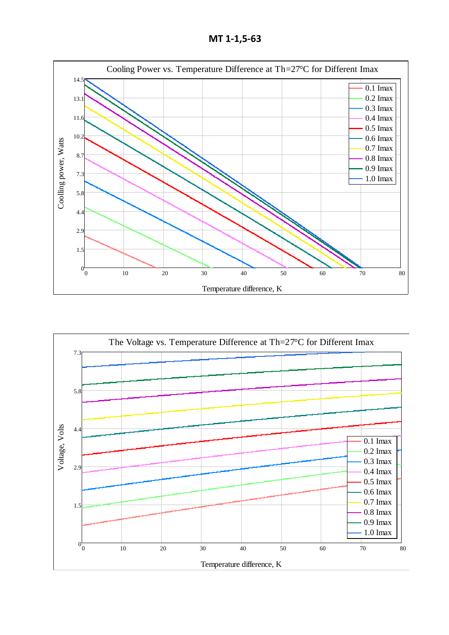**МТ 1-1,5-63**